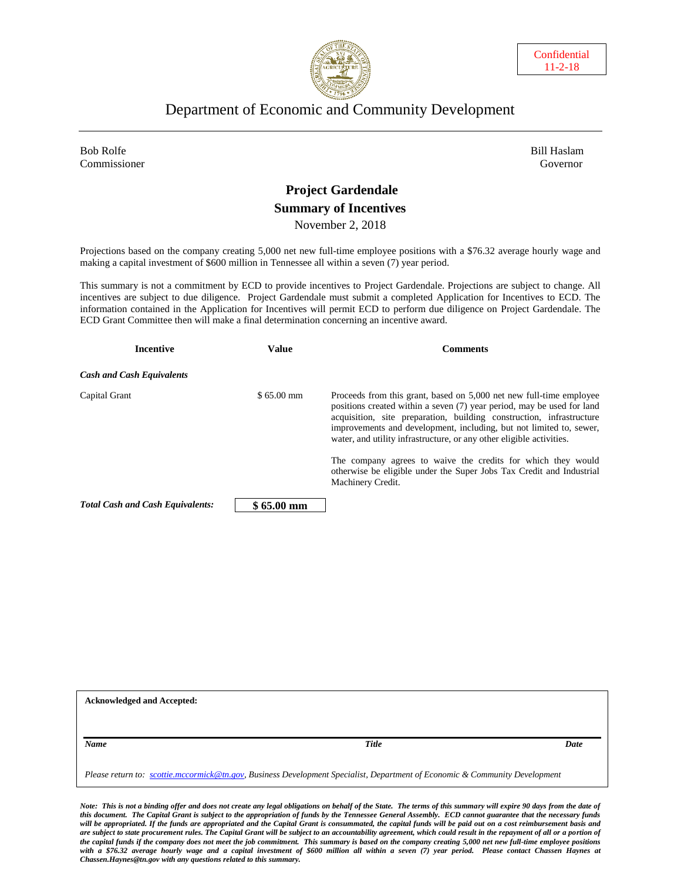



### Department of Economic and Community Development

Bob Rolfe Bill Haslam (1999) and the set of the set of the set of the Bill Haslam (1999) and the Bill Haslam ( Commissioner Governor

# **Project Gardendale Summary of Incentives**

November 2, 2018

Projections based on the company creating 5,000 net new full-time employee positions with a \$76.32 average hourly wage and making a capital investment of \$600 million in Tennessee all within a seven (7) year period.

This summary is not a commitment by ECD to provide incentives to Project Gardendale. Projections are subject to change. All incentives are subject to due diligence. Project Gardendale must submit a completed Application for Incentives to ECD. The information contained in the Application for Incentives will permit ECD to perform due diligence on Project Gardendale. The ECD Grant Committee then will make a final determination concerning an incentive award.

| <b>Incentive</b>                        | <b>Value</b>        | <b>Comments</b>                                                                                                                                                                                                                                                                                                                                                      |
|-----------------------------------------|---------------------|----------------------------------------------------------------------------------------------------------------------------------------------------------------------------------------------------------------------------------------------------------------------------------------------------------------------------------------------------------------------|
| <b>Cash and Cash Equivalents</b>        |                     |                                                                                                                                                                                                                                                                                                                                                                      |
| Capital Grant                           | $$65.00$ mm         | Proceeds from this grant, based on 5,000 net new full-time employee<br>positions created within a seven (7) year period, may be used for land<br>acquisition, site preparation, building construction, infrastructure<br>improvements and development, including, but not limited to, sewer,<br>water, and utility infrastructure, or any other eligible activities. |
|                                         |                     | The company agrees to waive the credits for which they would<br>otherwise be eligible under the Super Jobs Tax Credit and Industrial<br>Machinery Credit.                                                                                                                                                                                                            |
| <b>Total Cash and Cash Equivalents:</b> | $$65.00 \text{ mm}$ |                                                                                                                                                                                                                                                                                                                                                                      |

| <b>Acknowledged and Accepted:</b>                                                                                           |       |      |  |  |
|-----------------------------------------------------------------------------------------------------------------------------|-------|------|--|--|
|                                                                                                                             |       |      |  |  |
| Name                                                                                                                        | Title | Date |  |  |
| Please return to: scottie.mccormick@tn.gov, Business Development Specialist, Department of Economic & Community Development |       |      |  |  |

*Note: This is not a binding offer and does not create any legal obligations on behalf of the State. The terms of this summary will expire 90 days from the date of this document. The Capital Grant is subject to the appropriation of funds by the Tennessee General Assembly. ECD cannot guarantee that the necessary funds*  will be appropriated. If the funds are appropriated and the Capital Grant is consummated, the capital funds will be paid out on a cost reimbursement basis and are subject to state procurement rules. The Capital Grant will be subject to an accountability agreement, which could result in the repayment of all or a portion of *the capital funds if the company does not meet the job commitment. This summary is based on the company creating 5,000 net new full-time employee positions with a \$76.32 average hourly wage and a capital investment of \$600 million all within a seven (7) year period. Please contact Chassen Haynes at Chassen.Haynes@tn.gov with any questions related to this summary.*